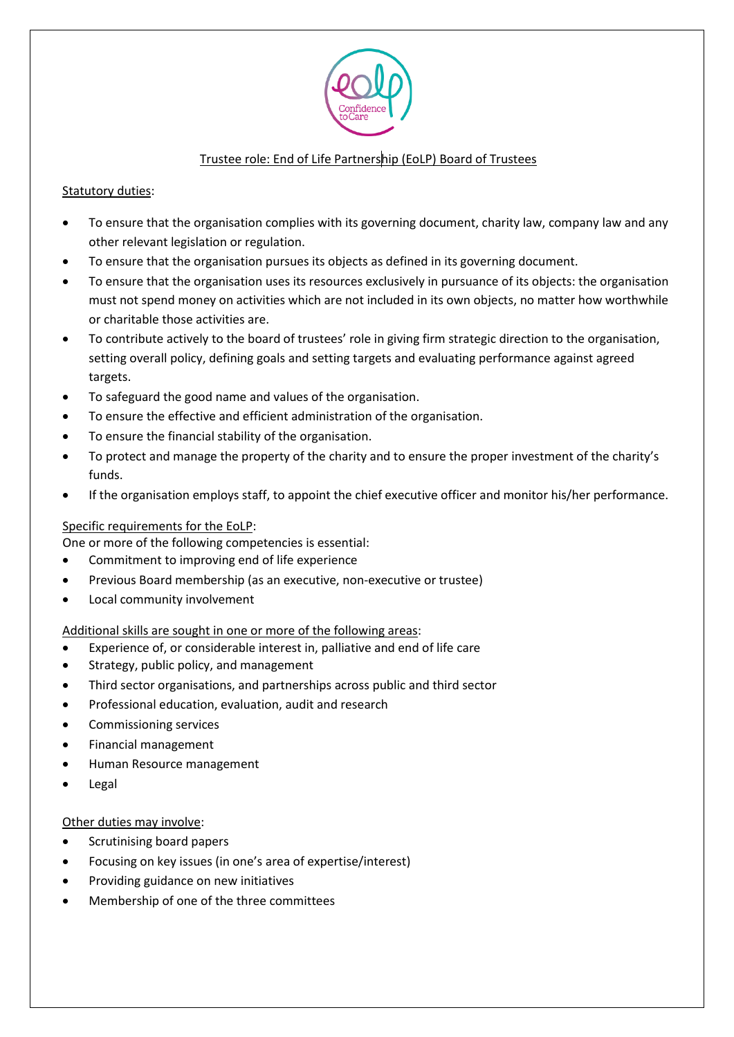

# Trustee role: End of Life Partnership (EoLP) Board of Trustees

## Statutory duties:

- To ensure that the organisation complies with its governing document, charity law, company law and any other relevant legislation or regulation.
- To ensure that the organisation pursues its objects as defined in its governing document.
- To ensure that the organisation uses its resources exclusively in pursuance of its objects: the organisation must not spend money on activities which are not included in its own objects, no matter how worthwhile or charitable those activities are.
- To contribute actively to the board of trustees' role in giving firm strategic direction to the organisation, setting overall policy, defining goals and setting targets and evaluating performance against agreed targets.
- To safeguard the good name and values of the organisation.
- To ensure the effective and efficient administration of the organisation.
- To ensure the financial stability of the organisation.
- To protect and manage the property of the charity and to ensure the proper investment of the charity's funds.
- If the organisation employs staff, to appoint the chief executive officer and monitor his/her performance.

## Specific requirements for the EoLP:

One or more of the following competencies is essential:

- Commitment to improving end of life experience
- Previous Board membership (as an executive, non-executive or trustee)
- Local community involvement

## Additional skills are sought in one or more of the following areas:

- Experience of, or considerable interest in, palliative and end of life care
- Strategy, public policy, and management
- Third sector organisations, and partnerships across public and third sector
- Professional education, evaluation, audit and research
- Commissioning services
- Financial management
- Human Resource management
- **Legal**

#### Other duties may involve:

- Scrutinising board papers
- Focusing on key issues (in one's area of expertise/interest)
- Providing guidance on new initiatives
- Membership of one of the three committees